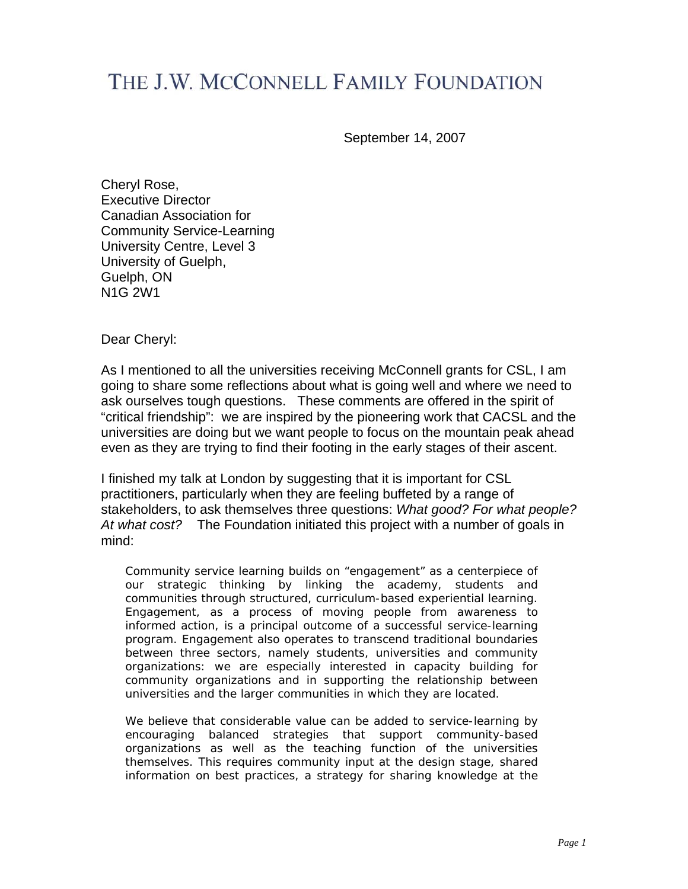# THE J.W. MCCONNELL FAMILY FOUNDATION

September 14, 2007

Cheryl Rose, Executive Director Canadian Association for Community Service-Learning University Centre, Level 3 University of Guelph, Guelph, ON N1G 2W1

Dear Cheryl:

As I mentioned to all the universities receiving McConnell grants for CSL, I am going to share some reflections about what is going well and where we need to ask ourselves tough questions. These comments are offered in the spirit of "critical friendship": we are inspired by the pioneering work that CACSL and the universities are doing but we want people to focus on the mountain peak ahead even as they are trying to find their footing in the early stages of their ascent.

I finished my talk at London by suggesting that it is important for CSL practitioners, particularly when they are feeling buffeted by a range of stakeholders, to ask themselves three questions: *What good? For what people? At what cost?* The Foundation initiated this project with a number of goals in mind:

Community service learning builds on "engagement" as a centerpiece of our strategic thinking by linking the academy, students and communities through structured, curriculum-based experiential learning. Engagement, as a process of moving people from awareness to informed action, is a principal outcome of a successful service-learning program. Engagement also operates to transcend traditional boundaries between three sectors, namely students, universities and community organizations: we are especially interested in capacity building for community organizations and in supporting the relationship between universities and the larger communities in which they are located.

We believe that considerable value can be added to service-learning by encouraging balanced strategies that support community-based organizations as well as the teaching function of the universities themselves. This requires community input at the design stage, shared information on best practices, a strategy for sharing knowledge at the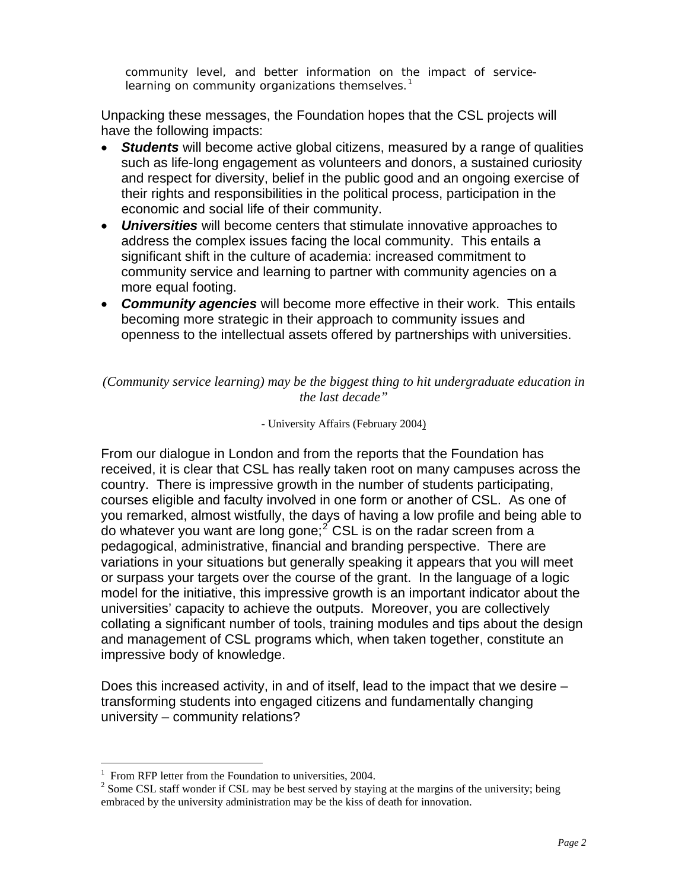community level, and better information on the impact of servicelearning on community organizations themselves. $<sup>1</sup>$  $<sup>1</sup>$  $<sup>1</sup>$ </sup>

Unpacking these messages, the Foundation hopes that the CSL projects will have the following impacts:

- *Students* will become active global citizens, measured by a range of qualities such as life-long engagement as volunteers and donors, a sustained curiosity and respect for diversity, belief in the public good and an ongoing exercise of their rights and responsibilities in the political process, participation in the economic and social life of their community.
- *Universities* will become centers that stimulate innovative approaches to address the complex issues facing the local community. This entails a significant shift in the culture of academia: increased commitment to community service and learning to partner with community agencies on a more equal footing.
- *Community agencies* will become more effective in their work.This entails becoming more strategic in their approach to community issues and openness to the intellectual assets offered by partnerships with universities.

*(Community service learning) may be the biggest thing to hit undergraduate education in the last decade"* 

#### - University Affairs (February 2004)

From our dialogue in London and from the reports that the Foundation has received, it is clear that CSL has really taken root on many campuses across the country. There is impressive growth in the number of students participating, courses eligible and faculty involved in one form or another of CSL. As one of you remarked, almost wistfully, the days of having a low profile and being able to do whatever you want are long gone;<sup>[2](#page-1-1)</sup> CSL is on the radar screen from a pedagogical, administrative, financial and branding perspective. There are variations in your situations but generally speaking it appears that you will meet or surpass your targets over the course of the grant. In the language of a logic model for the initiative, this impressive growth is an important indicator about the universities' capacity to achieve the outputs. Moreover, you are collectively collating a significant number of tools, training modules and tips about the design and management of CSL programs which, when taken together, constitute an impressive body of knowledge.

Does this increased activity, in and of itself, lead to the impact that we desire – transforming students into engaged citizens and fundamentally changing university – community relations?

1

<span id="page-1-0"></span><sup>&</sup>lt;sup>1</sup> From RFP letter from the Foundation to universities, 2004.

<span id="page-1-1"></span> $2^{2}$  Some CSL staff wonder if CSL may be best served by staying at the margins of the university; being embraced by the university administration may be the kiss of death for innovation.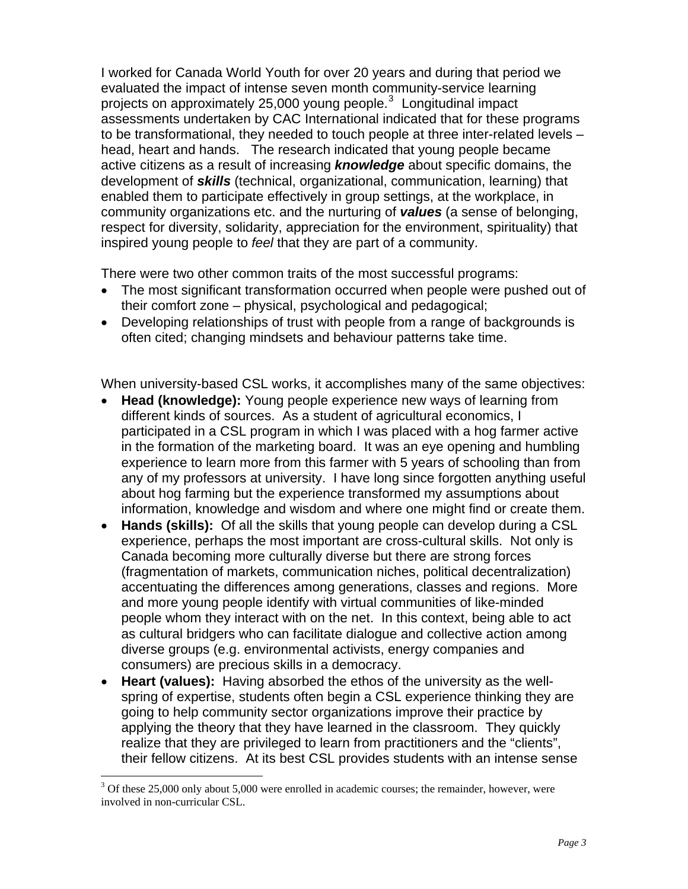I worked for Canada World Youth for over 20 years and during that period we evaluated the impact of intense seven month community-service learning projects on approximately 25,000 young people.<sup>[3](#page-2-0)</sup> Longitudinal impact assessments undertaken by CAC International indicated that for these programs to be transformational, they needed to touch people at three inter-related levels – head, heart and hands. The research indicated that young people became active citizens as a result of increasing *knowledge* about specific domains, the development of *skills* (technical, organizational, communication, learning) that enabled them to participate effectively in group settings, at the workplace, in community organizations etc. and the nurturing of *values* (a sense of belonging, respect for diversity, solidarity, appreciation for the environment, spirituality) that inspired young people to *feel* that they are part of a community.

There were two other common traits of the most successful programs:

- The most significant transformation occurred when people were pushed out of their comfort zone – physical, psychological and pedagogical;
- Developing relationships of trust with people from a range of backgrounds is often cited; changing mindsets and behaviour patterns take time.

When university-based CSL works, it accomplishes many of the same objectives:

- **Head (knowledge):** Young people experience new ways of learning from different kinds of sources. As a student of agricultural economics, I participated in a CSL program in which I was placed with a hog farmer active in the formation of the marketing board. It was an eye opening and humbling experience to learn more from this farmer with 5 years of schooling than from any of my professors at university. I have long since forgotten anything useful about hog farming but the experience transformed my assumptions about information, knowledge and wisdom and where one might find or create them.
- **Hands (skills):** Of all the skills that young people can develop during a CSL experience, perhaps the most important are cross-cultural skills. Not only is Canada becoming more culturally diverse but there are strong forces (fragmentation of markets, communication niches, political decentralization) accentuating the differences among generations, classes and regions. More and more young people identify with virtual communities of like-minded people whom they interact with on the net. In this context, being able to act as cultural bridgers who can facilitate dialogue and collective action among diverse groups (e.g. environmental activists, energy companies and consumers) are precious skills in a democracy.
- **Heart (values):** Having absorbed the ethos of the university as the wellspring of expertise, students often begin a CSL experience thinking they are going to help community sector organizations improve their practice by applying the theory that they have learned in the classroom. They quickly realize that they are privileged to learn from practitioners and the "clients", their fellow citizens. At its best CSL provides students with an intense sense

<span id="page-2-0"></span><sup>&</sup>lt;sup>3</sup> Of these 25,000 only about 5,000 were enrolled in academic courses; the remainder, however, were involved in non-curricular CSL.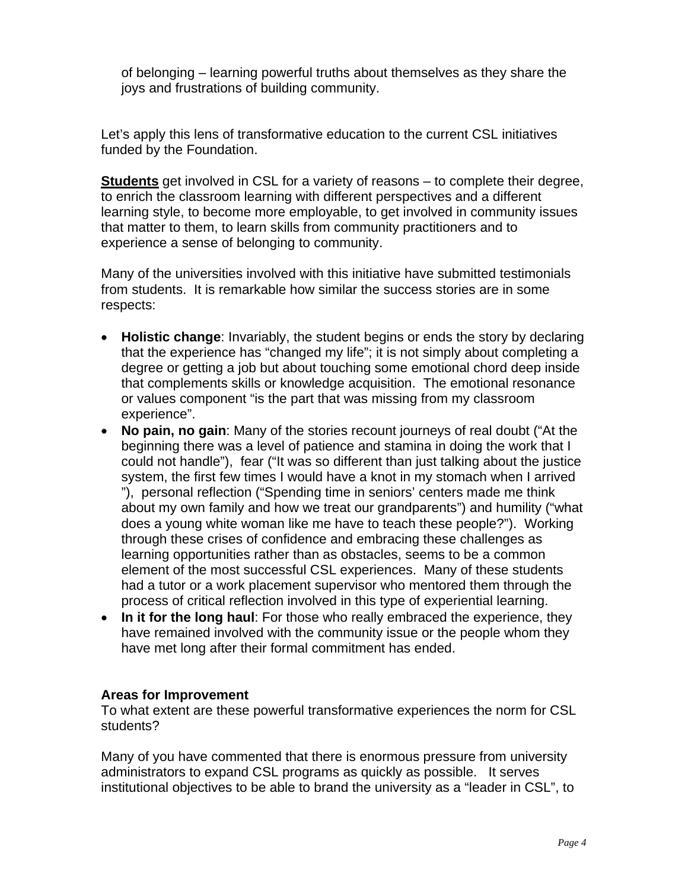of belonging – learning powerful truths about themselves as they share the joys and frustrations of building community.

Let's apply this lens of transformative education to the current CSL initiatives funded by the Foundation.

**Students** get involved in CSL for a variety of reasons – to complete their degree, to enrich the classroom learning with different perspectives and a different learning style, to become more employable, to get involved in community issues that matter to them, to learn skills from community practitioners and to experience a sense of belonging to community.

Many of the universities involved with this initiative have submitted testimonials from students. It is remarkable how similar the success stories are in some respects:

- **Holistic change**: Invariably, the student begins or ends the story by declaring that the experience has "changed my life"; it is not simply about completing a degree or getting a job but about touching some emotional chord deep inside that complements skills or knowledge acquisition. The emotional resonance or values component "is the part that was missing from my classroom experience".
- **No pain, no gain**: Many of the stories recount journeys of real doubt ("At the beginning there was a level of patience and stamina in doing the work that I could not handle"), fear ("It was so different than just talking about the justice system, the first few times I would have a knot in my stomach when I arrived "), personal reflection ("Spending time in seniors' centers made me think about my own family and how we treat our grandparents") and humility ("what does a young white woman like me have to teach these people?"). Working through these crises of confidence and embracing these challenges as learning opportunities rather than as obstacles, seems to be a common element of the most successful CSL experiences. Many of these students had a tutor or a work placement supervisor who mentored them through the process of critical reflection involved in this type of experiential learning.
- **In it for the long haul**: For those who really embraced the experience, they have remained involved with the community issue or the people whom they have met long after their formal commitment has ended.

# **Areas for Improvement**

To what extent are these powerful transformative experiences the norm for CSL students?

Many of you have commented that there is enormous pressure from university administrators to expand CSL programs as quickly as possible. It serves institutional objectives to be able to brand the university as a "leader in CSL", to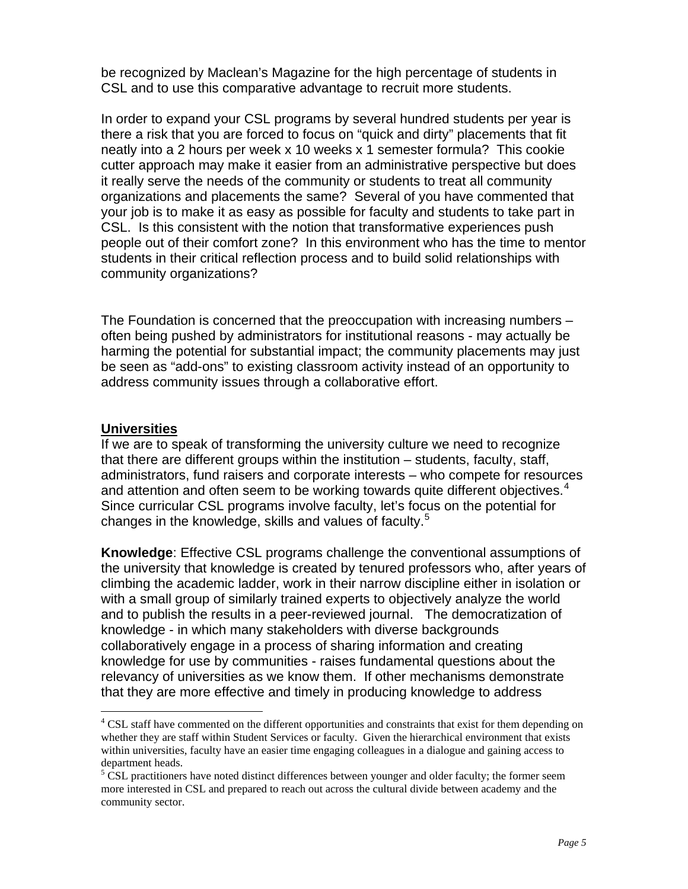be recognized by Maclean's Magazine for the high percentage of students in CSL and to use this comparative advantage to recruit more students.

In order to expand your CSL programs by several hundred students per year is there a risk that you are forced to focus on "quick and dirty" placements that fit neatly into a 2 hours per week x 10 weeks x 1 semester formula? This cookie cutter approach may make it easier from an administrative perspective but does it really serve the needs of the community or students to treat all community organizations and placements the same? Several of you have commented that your job is to make it as easy as possible for faculty and students to take part in CSL. Is this consistent with the notion that transformative experiences push people out of their comfort zone? In this environment who has the time to mentor students in their critical reflection process and to build solid relationships with community organizations?

The Foundation is concerned that the preoccupation with increasing numbers – often being pushed by administrators for institutional reasons - may actually be harming the potential for substantial impact; the community placements may just be seen as "add-ons" to existing classroom activity instead of an opportunity to address community issues through a collaborative effort.

### **Universities**

 $\overline{a}$ 

If we are to speak of transforming the university culture we need to recognize that there are different groups within the institution – students, faculty, staff, administrators, fund raisers and corporate interests – who compete for resources and attention and often seem to be working towards quite different objectives. $4$ Since curricular CSL programs involve faculty, let's focus on the potential for changes in the knowledge, skills and values of faculty.<sup>[5](#page-4-1)</sup>

**Knowledge**: Effective CSL programs challenge the conventional assumptions of the university that knowledge is created by tenured professors who, after years of climbing the academic ladder, work in their narrow discipline either in isolation or with a small group of similarly trained experts to objectively analyze the world and to publish the results in a peer-reviewed journal. The democratization of knowledge - in which many stakeholders with diverse backgrounds collaboratively engage in a process of sharing information and creating knowledge for use by communities - raises fundamental questions about the relevancy of universities as we know them. If other mechanisms demonstrate that they are more effective and timely in producing knowledge to address

<span id="page-4-0"></span><sup>&</sup>lt;sup>4</sup> CSL staff have commented on the different opportunities and constraints that exist for them depending on whether they are staff within Student Services or faculty. Given the hierarchical environment that exists within universities, faculty have an easier time engaging colleagues in a dialogue and gaining access to department heads.

<span id="page-4-1"></span> $5 \text{ CSL}$  practitioners have noted distinct differences between younger and older faculty; the former seem more interested in CSL and prepared to reach out across the cultural divide between academy and the community sector.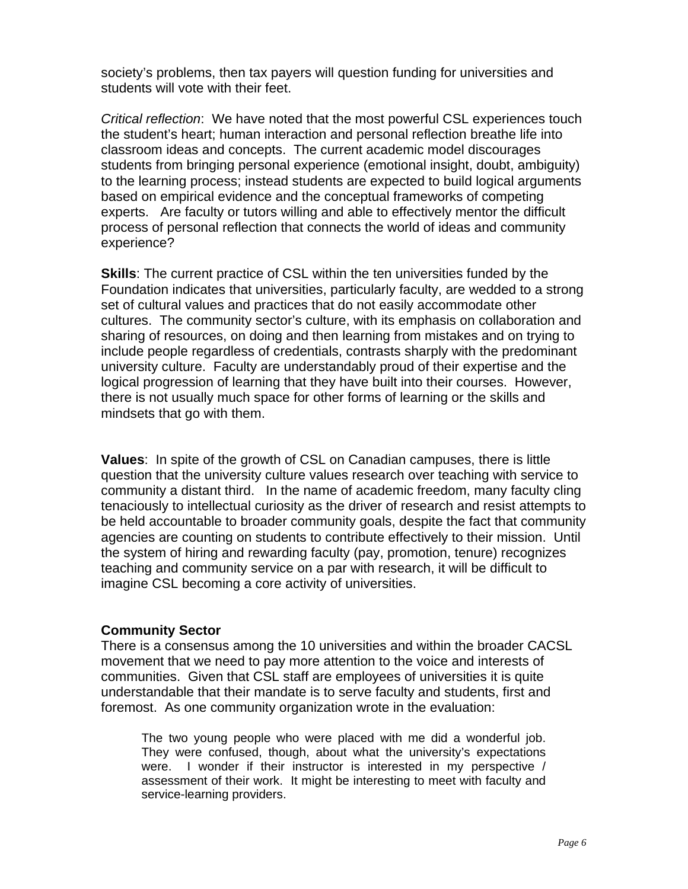society's problems, then tax payers will question funding for universities and students will vote with their feet.

*Critical reflection*: We have noted that the most powerful CSL experiences touch the student's heart; human interaction and personal reflection breathe life into classroom ideas and concepts. The current academic model discourages students from bringing personal experience (emotional insight, doubt, ambiguity) to the learning process; instead students are expected to build logical arguments based on empirical evidence and the conceptual frameworks of competing experts. Are faculty or tutors willing and able to effectively mentor the difficult process of personal reflection that connects the world of ideas and community experience?

**Skills**: The current practice of CSL within the ten universities funded by the Foundation indicates that universities, particularly faculty, are wedded to a strong set of cultural values and practices that do not easily accommodate other cultures. The community sector's culture, with its emphasis on collaboration and sharing of resources, on doing and then learning from mistakes and on trying to include people regardless of credentials, contrasts sharply with the predominant university culture. Faculty are understandably proud of their expertise and the logical progression of learning that they have built into their courses. However, there is not usually much space for other forms of learning or the skills and mindsets that go with them.

**Values**: In spite of the growth of CSL on Canadian campuses, there is little question that the university culture values research over teaching with service to community a distant third. In the name of academic freedom, many faculty cling tenaciously to intellectual curiosity as the driver of research and resist attempts to be held accountable to broader community goals, despite the fact that community agencies are counting on students to contribute effectively to their mission. Until the system of hiring and rewarding faculty (pay, promotion, tenure) recognizes teaching and community service on a par with research, it will be difficult to imagine CSL becoming a core activity of universities.

#### **Community Sector**

There is a consensus among the 10 universities and within the broader CACSL movement that we need to pay more attention to the voice and interests of communities. Given that CSL staff are employees of universities it is quite understandable that their mandate is to serve faculty and students, first and foremost. As one community organization wrote in the evaluation:

The two young people who were placed with me did a wonderful job. They were confused, though, about what the university's expectations were. I wonder if their instructor is interested in my perspective / assessment of their work. It might be interesting to meet with faculty and service-learning providers.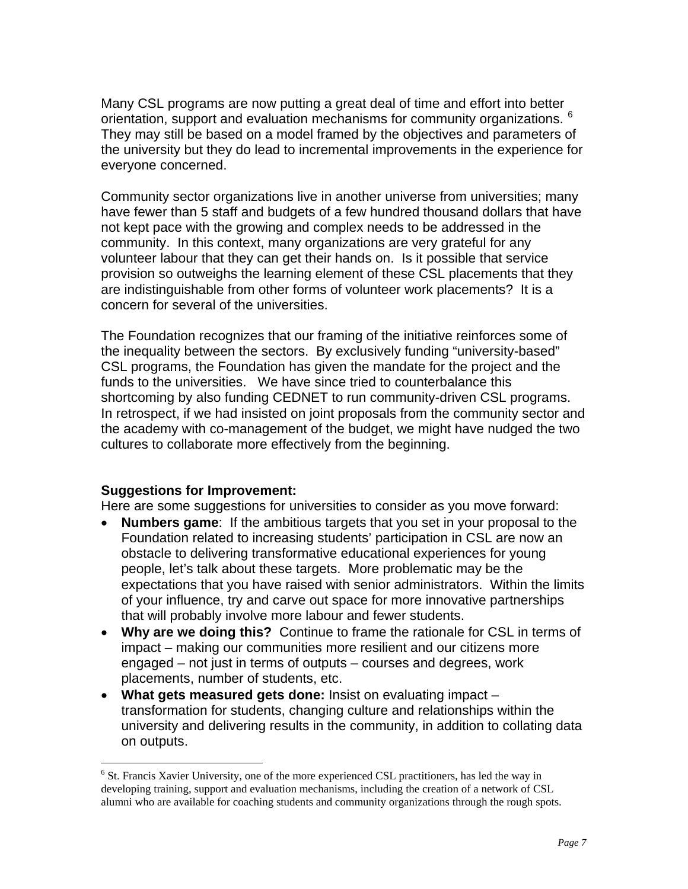Many CSL programs are now putting a great deal of time and effort into better orientation, support and evaluation mechanisms for community organizations. <sup>[6](#page-6-0)</sup> They may still be based on a model framed by the objectives and parameters of the university but they do lead to incremental improvements in the experience for everyone concerned.

Community sector organizations live in another universe from universities; many have fewer than 5 staff and budgets of a few hundred thousand dollars that have not kept pace with the growing and complex needs to be addressed in the community. In this context, many organizations are very grateful for any volunteer labour that they can get their hands on. Is it possible that service provision so outweighs the learning element of these CSL placements that they are indistinguishable from other forms of volunteer work placements? It is a concern for several of the universities.

The Foundation recognizes that our framing of the initiative reinforces some of the inequality between the sectors. By exclusively funding "university-based" CSL programs, the Foundation has given the mandate for the project and the funds to the universities. We have since tried to counterbalance this shortcoming by also funding CEDNET to run community-driven CSL programs. In retrospect, if we had insisted on joint proposals from the community sector and the academy with co-management of the budget, we might have nudged the two cultures to collaborate more effectively from the beginning.

# **Suggestions for Improvement:**

 $\overline{a}$ 

Here are some suggestions for universities to consider as you move forward:

- **Numbers game**: If the ambitious targets that you set in your proposal to the Foundation related to increasing students' participation in CSL are now an obstacle to delivering transformative educational experiences for young people, let's talk about these targets. More problematic may be the expectations that you have raised with senior administrators. Within the limits of your influence, try and carve out space for more innovative partnerships that will probably involve more labour and fewer students.
- **Why are we doing this?** Continue to frame the rationale for CSL in terms of impact – making our communities more resilient and our citizens more engaged – not just in terms of outputs – courses and degrees, work placements, number of students, etc.
- **What gets measured gets done:** Insist on evaluating impact transformation for students, changing culture and relationships within the university and delivering results in the community, in addition to collating data on outputs.

<span id="page-6-0"></span><sup>&</sup>lt;sup>6</sup> St. Francis Xavier University, one of the more experienced CSL practitioners, has led the way in developing training, support and evaluation mechanisms, including the creation of a network of CSL alumni who are available for coaching students and community organizations through the rough spots.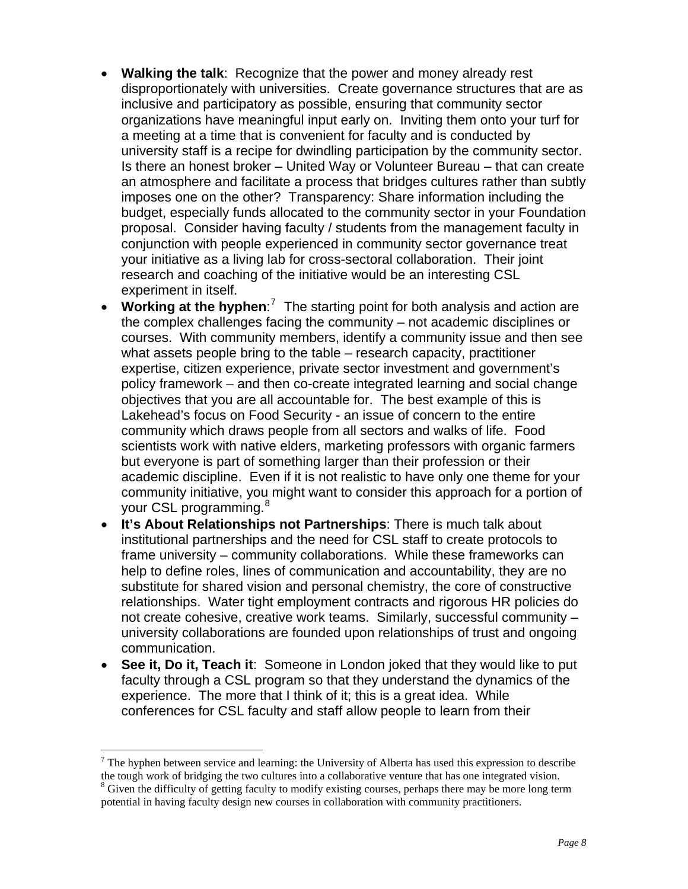- **Walking the talk**: Recognize that the power and money already rest disproportionately with universities. Create governance structures that are as inclusive and participatory as possible, ensuring that community sector organizations have meaningful input early on. Inviting them onto your turf for a meeting at a time that is convenient for faculty and is conducted by university staff is a recipe for dwindling participation by the community sector. Is there an honest broker – United Way or Volunteer Bureau – that can create an atmosphere and facilitate a process that bridges cultures rather than subtly imposes one on the other? Transparency: Share information including the budget, especially funds allocated to the community sector in your Foundation proposal. Consider having faculty / students from the management faculty in conjunction with people experienced in community sector governance treat your initiative as a living lab for cross-sectoral collaboration. Their joint research and coaching of the initiative would be an interesting CSL experiment in itself.
- Working at the hyphen:<sup>[7](#page-7-0)</sup> The starting point for both analysis and action are the complex challenges facing the community – not academic disciplines or courses. With community members, identify a community issue and then see what assets people bring to the table – research capacity, practitioner expertise, citizen experience, private sector investment and government's policy framework – and then co-create integrated learning and social change objectives that you are all accountable for. The best example of this is Lakehead's focus on Food Security - an issue of concern to the entire community which draws people from all sectors and walks of life. Food scientists work with native elders, marketing professors with organic farmers but everyone is part of something larger than their profession or their academic discipline. Even if it is not realistic to have only one theme for your community initiative, you might want to consider this approach for a portion of your CSL programming.<sup>[8](#page-7-1)</sup>
- **It's About Relationships not Partnerships**: There is much talk about institutional partnerships and the need for CSL staff to create protocols to frame university – community collaborations. While these frameworks can help to define roles, lines of communication and accountability, they are no substitute for shared vision and personal chemistry, the core of constructive relationships. Water tight employment contracts and rigorous HR policies do not create cohesive, creative work teams. Similarly, successful community – university collaborations are founded upon relationships of trust and ongoing communication.
- **See it, Do it, Teach it**: Someone in London joked that they would like to put faculty through a CSL program so that they understand the dynamics of the experience. The more that I think of it; this is a great idea. While conferences for CSL faculty and staff allow people to learn from their

 $\overline{a}$ 

<span id="page-7-1"></span><span id="page-7-0"></span> $<sup>7</sup>$  The hyphen between service and learning: the University of Alberta has used this expression to describe</sup> the tough work of bridging the two cultures into a collaborative venture that has one integrated vision. 8 <sup>8</sup> Given the difficulty of getting faculty to modify existing courses, perhaps there may be more long term potential in having faculty design new courses in collaboration with community practitioners.